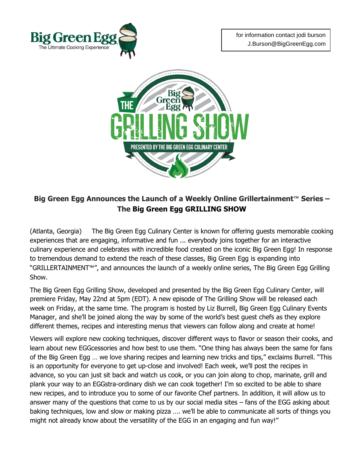



## **Big Green Egg Announces the Launch of a Weekly Online Grillertainment™ Series – The Big Green Egg GRILLING SHOW**

(Atlanta, Georgia) The Big Green Egg Culinary Center is known for offering guests memorable cooking experiences that are engaging, informative and fun ... everybody joins together for an interactive culinary experience and celebrates with incredible food created on the iconic Big Green Egg! In response to tremendous demand to extend the reach of these classes, Big Green Egg is expanding into "GRILLERTAINMENT**™**", and announces the launch of a weekly online series, The Big Green Egg Grilling Show.

The Big Green Egg Grilling Show, developed and presented by the Big Green Egg Culinary Center, will premiere Friday, May 22nd at 5pm (EDT). A new episode of The Grilling Show will be released each week on Friday, at the same time. The program is hosted by Liz Burrell, Big Green Egg Culinary Events Manager, and she'll be joined along the way by some of the world's best guest chefs as they explore different themes, recipes and interesting menus that viewers can follow along and create at home!

Viewers will explore new cooking techniques, discover different ways to flavor or season their cooks, and learn about new EGGcessories and how best to use them. "One thing has always been the same for fans of the Big Green Egg … we love sharing recipes and learning new tricks and tips," exclaims Burrell. "This is an opportunity for everyone to get up-close and involved! Each week, we'll post the recipes in advance, so you can just sit back and watch us cook, or you can join along to chop, marinate, grill and plank your way to an EGGstra-ordinary dish we can cook together! I'm so excited to be able to share new recipes, and to introduce you to some of our favorite Chef partners. In addition, it will allow us to answer many of the questions that come to us by our social media sites – fans of the EGG asking about baking techniques, low and slow or making pizza …. we'll be able to communicate all sorts of things you might not already know about the versatility of the EGG in an engaging and fun way!"